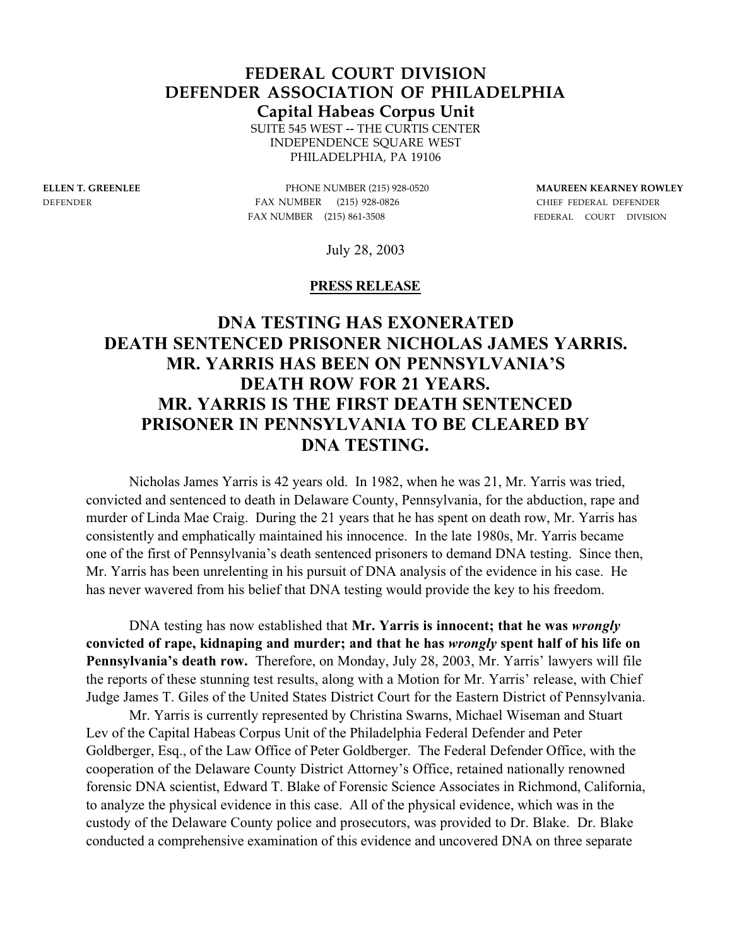# **FEDERAL COURT DIVISION DEFENDER ASSOCIATION OF PHILADELPHIA**

**Capital Habeas Corpus Unit**

SUITE 545 WEST -- THE CURTIS CENTER INDEPENDENCE SQUARE WEST PHILADELPHIA, PA 19106

**ELLEN T. GREENLEE** PHONE NUMBER (215) 928-0520 **MAUREEN KEARNEY ROWLEY** DEFENDER FAX NUMBER (215) 928-0826CHIEF FEDERAL DEFENDER FAX NUMBER (215) 861-3508 FEDERAL COURT DIVISION

July 28, 2003

### **PRESS RELEASE**

## **DNA TESTING HAS EXONERATED DEATH SENTENCED PRISONER NICHOLAS JAMES YARRIS. MR. YARRIS HAS BEEN ON PENNSYLVANIA'S DEATH ROW FOR 21 YEARS. MR. YARRIS IS THE FIRST DEATH SENTENCED PRISONER IN PENNSYLVANIA TO BE CLEARED BY DNA TESTING.**

Nicholas James Yarris is 42 years old. In 1982, when he was 21, Mr. Yarris was tried, convicted and sentenced to death in Delaware County, Pennsylvania, for the abduction, rape and murder of Linda Mae Craig. During the 21 years that he has spent on death row, Mr. Yarris has consistently and emphatically maintained his innocence. In the late 1980s, Mr. Yarris became one of the first of Pennsylvania's death sentenced prisoners to demand DNA testing. Since then, Mr. Yarris has been unrelenting in his pursuit of DNA analysis of the evidence in his case. He has never wavered from his belief that DNA testing would provide the key to his freedom.

DNA testing has now established that **Mr. Yarris is innocent; that he was** *wrongly* **convicted of rape, kidnaping and murder; and that he has** *wrongly* **spent half of his life on Pennsylvania's death row.** Therefore, on Monday, July 28, 2003, Mr. Yarris' lawyers will file the reports of these stunning test results, along with a Motion for Mr. Yarris' release, with Chief Judge James T. Giles of the United States District Court for the Eastern District of Pennsylvania.

Mr. Yarris is currently represented by Christina Swarns, Michael Wiseman and Stuart Lev of the Capital Habeas Corpus Unit of the Philadelphia Federal Defender and Peter Goldberger, Esq., of the Law Office of Peter Goldberger. The Federal Defender Office, with the cooperation of the Delaware County District Attorney's Office, retained nationally renowned forensic DNA scientist, Edward T. Blake of Forensic Science Associates in Richmond, California, to analyze the physical evidence in this case. All of the physical evidence, which was in the custody of the Delaware County police and prosecutors, was provided to Dr. Blake. Dr. Blake conducted a comprehensive examination of this evidence and uncovered DNA on three separate